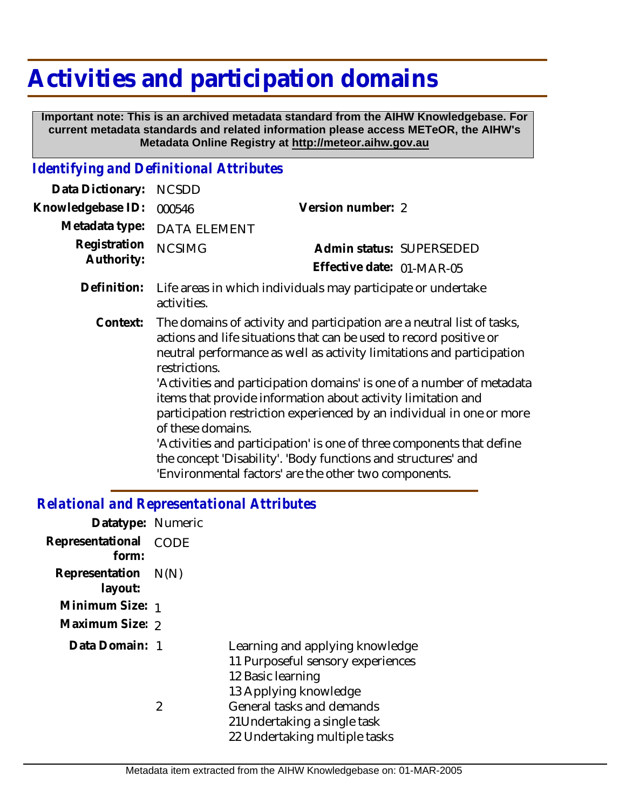## **Activities and participation domains**

 **Important note: This is an archived metadata standard from the AIHW Knowledgebase. For current metadata standards and related information please access METeOR, the AIHW's Metadata Online Registry at http://meteor.aihw.gov.au**

## *Identifying and Definitional Attributes*

| Data Dictionary:           | <b>NCSDD</b>                       |                                                                                                                                                                                                                                                                                                                                                                                                                                                                                                                                                                                                                                            |
|----------------------------|------------------------------------|--------------------------------------------------------------------------------------------------------------------------------------------------------------------------------------------------------------------------------------------------------------------------------------------------------------------------------------------------------------------------------------------------------------------------------------------------------------------------------------------------------------------------------------------------------------------------------------------------------------------------------------------|
| Knowledgebase ID:          | 000546                             | Version number: 2                                                                                                                                                                                                                                                                                                                                                                                                                                                                                                                                                                                                                          |
| Metadata type:             | <b>DATA ELEMENT</b>                |                                                                                                                                                                                                                                                                                                                                                                                                                                                                                                                                                                                                                                            |
| Registration<br>Authority: | <b>NCSIMG</b>                      | Admin status: SUPERSEDED<br>Effective date: 01-MAR-05                                                                                                                                                                                                                                                                                                                                                                                                                                                                                                                                                                                      |
| Definition:                | activities.                        | Life areas in which individuals may participate or undertake                                                                                                                                                                                                                                                                                                                                                                                                                                                                                                                                                                               |
| Context:                   | restrictions.<br>of these domains. | The domains of activity and participation are a neutral list of tasks,<br>actions and life situations that can be used to record positive or<br>neutral performance as well as activity limitations and participation<br>'Activities and participation domains' is one of a number of metadata<br>items that provide information about activity limitation and<br>participation restriction experienced by an individual in one or more<br>'Activities and participation' is one of three components that define<br>the concept 'Disability'. 'Body functions and structures' and<br>'Environmental factors' are the other two components. |

## *Relational and Representational Attributes*

| Datatype: Numeric              |                |                                                                                                                    |
|--------------------------------|----------------|--------------------------------------------------------------------------------------------------------------------|
| Representational<br>form:      | CODE           |                                                                                                                    |
| Representation N(N)<br>layout: |                |                                                                                                                    |
| Minimum Size: 1                |                |                                                                                                                    |
| Maximum Size: 2                |                |                                                                                                                    |
| Data Domain: 1                 |                | Learning and applying knowledge<br>11 Purposeful sensory experiences<br>12 Basic learning<br>13 Applying knowledge |
|                                | $\mathfrak{D}$ | General tasks and demands<br>21 Undertaking a single task<br>22 Undertaking multiple tasks                         |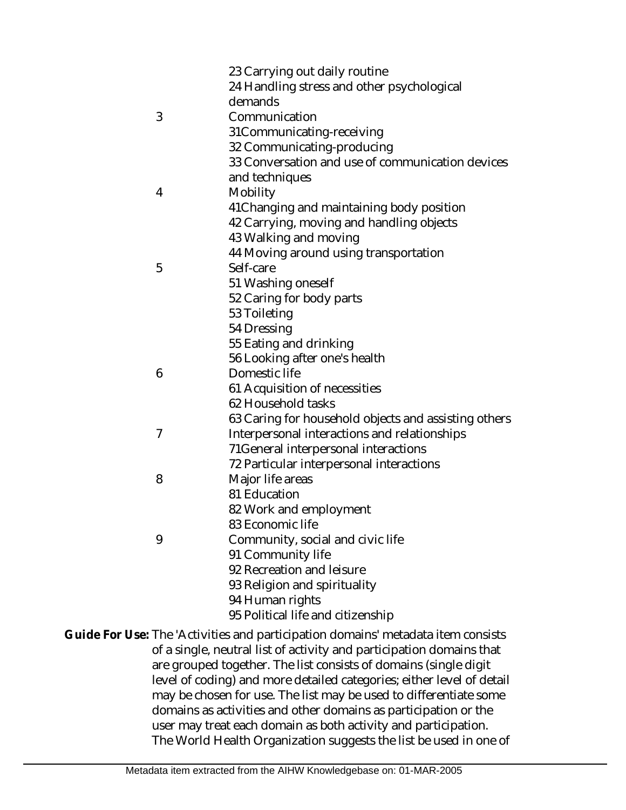|   | 23 Carrying out daily routine<br>24 Handling stress and other psychological<br>demands |
|---|----------------------------------------------------------------------------------------|
| 3 | Communication                                                                          |
|   | 31Communicating-receiving                                                              |
|   | 32 Communicating-producing                                                             |
|   | 33 Conversation and use of communication devices                                       |
|   | and techniques                                                                         |
| 4 | Mobility                                                                               |
|   | 41 Changing and maintaining body position                                              |
|   | 42 Carrying, moving and handling objects                                               |
|   | 43 Walking and moving                                                                  |
|   | 44 Moving around using transportation                                                  |
| 5 | Self-care                                                                              |
|   | 51 Washing oneself                                                                     |
|   | 52 Caring for body parts                                                               |
|   | 53 Toileting                                                                           |
|   | 54 Dressing                                                                            |
|   | 55 Eating and drinking                                                                 |
|   | 56 Looking after one's health                                                          |
| 6 | Domestic life                                                                          |
|   | 61 Acquisition of necessities                                                          |
|   | 62 Household tasks                                                                     |
|   | 63 Caring for household objects and assisting others                                   |
| 7 | Interpersonal interactions and relationships                                           |
|   | 71 General interpersonal interactions                                                  |
|   | 72 Particular interpersonal interactions                                               |
| 8 | Major life areas                                                                       |
|   | 81 Education                                                                           |
|   | 82 Work and employment                                                                 |
|   | 83 Economic life                                                                       |
| 9 | Community, social and civic life                                                       |
|   | 91 Community life                                                                      |
|   | 92 Recreation and leisure                                                              |
|   | 93 Religion and spirituality                                                           |
|   | 94 Human rights                                                                        |
|   | 95 Political life and citizenship                                                      |
|   | se: The 'Activities and participation domains' metadata item consists                  |
|   | of a single, neutral list of activity and participation domains that                   |

are grouped together. The list consists of domains (single digit level of coding) and more detailed categories; either level of detail may be chosen for use. The list may be used to differentiate some domains as activities and other domains as participation or the user may treat each domain as both activity and participation. The World Health Organization suggests the list be used in one of **Guide For Us**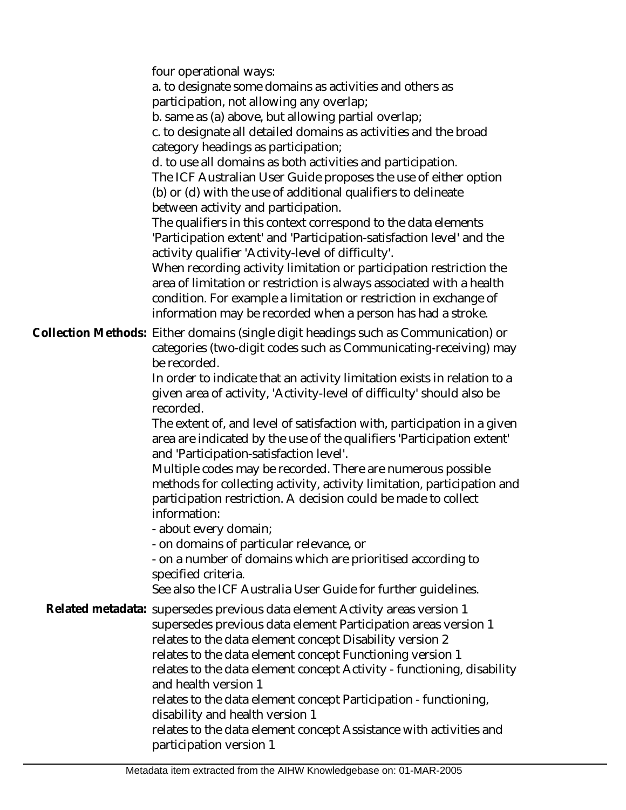four operational ways:

a. to designate some domains as activities and others as participation, not allowing any overlap;

b. same as (a) above, but allowing partial overlap;

c. to designate all detailed domains as activities and the broad category headings as participation;

d. to use all domains as both activities and participation. The ICF Australian User Guide proposes the use of either option

(b) or (d) with the use of additional qualifiers to delineate between activity and participation.

The qualifiers in this context correspond to the data elements 'Participation extent' and 'Participation-satisfaction level' and the activity qualifier 'Activity-level of difficulty'.

When recording activity limitation or participation restriction the area of limitation or restriction is always associated with a health condition. For example a limitation or restriction in exchange of information may be recorded when a person has had a stroke.

Collection Methods: Either domains (single digit headings such as Communication) or categories (two-digit codes such as Communicating-receiving) may be recorded.

> In order to indicate that an activity limitation exists in relation to a given area of activity, 'Activity-level of difficulty' should also be recorded.

The extent of, and level of satisfaction with, participation in a given area are indicated by the use of the qualifiers 'Participation extent' and 'Participation-satisfaction level'.

Multiple codes may be recorded. There are numerous possible methods for collecting activity, activity limitation, participation and participation restriction. A decision could be made to collect information:

- about every domain;

- on domains of particular relevance, or

- on a number of domains which are prioritised according to specified criteria.

See also the ICF Australia User Guide for further guidelines.

Related metadata: supersedes previous data element Activity areas version 1 supersedes previous data element Participation areas version 1 relates to the data element concept Disability version 2 relates to the data element concept Functioning version 1 relates to the data element concept Activity - functioning, disability and health version 1 relates to the data element concept Participation - functioning, disability and health version 1 relates to the data element concept Assistance with activities and participation version 1